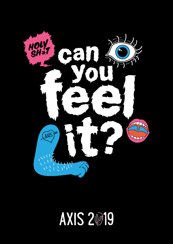

# **AXIS 20319**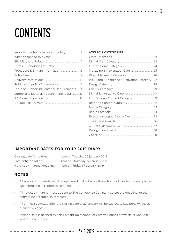# **CONTENTS**

| Publication policy & permission 12           |  |
|----------------------------------------------|--|
| Table of Supporting Material Requirements 14 |  |
| Supporting Material Requirements details17   |  |
|                                              |  |
|                                              |  |
|                                              |  |

#### **AXIS 2019 CATEGORIES**

| Magazine & Newspaper Category25              |  |
|----------------------------------------------|--|
|                                              |  |
| PR/Brand Experience & Activation Category 27 |  |
|                                              |  |
|                                              |  |
| Digital & Interactive Category  30           |  |
| Film & Video Content Category 31             |  |
|                                              |  |
|                                              |  |
|                                              |  |
| Executive Judges Choice Awards  35           |  |
|                                              |  |
|                                              |  |
|                                              |  |
|                                              |  |
|                                              |  |

#### **IMPORTANT DATES FOR YOUR 2019 DIARY**

Closing date for entries: 4pm on Tuesday 22 January 2019 Late entry deadline: 4pm on Thursday 24 January 2019 Hard copy material deadline: 4pm on Friday 1 February 2019

#### **NOTES:**

- All supporting material must be uploaded online before the entry deadlines for the entry to be submitted and accepted as complete.
- All hardcopy material must be sent to The Conference Company before the deadline for the entry to be accepted as complete.
- All entries submitted after the closing date of 22 January will be subject to late penalty fees as outlined on page 10.
- Membership is defined as being a paid-up member of Comms Council between 1st April 2018 and 31st March 2019.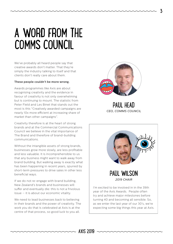### A WORD FROM THE COMMS COUNCIL

We've probably all heard people say that creative awards don't matter. That they're simply the industry talking to itself and that clients don't really care about them.

#### **These people couldn't be more wrong.**

Awards programmes like Axis are about recognising creativity and the evidence in favour of creativity is not only overwhelming but is continuing to mount. The statistic from Peter Field and Les Binet that stands out the most is this "Creatively awarded campaigns are nearly 10x more efficient at increasing share of market than other campaigns".

Creativity therefore is at the heart of strong brands and at the Commercial Communications Council we believe in the vital importance of The Brand and therefore of brand-building communications.

Without the intangible assets of strong brands, businesses grow more slowly, are less profitable and less valuable. It is incomprehensible to us that any business might want to walk away from brand building. But walking away is exactly what has been happening in recent years, spurred by short-term pressures to drive sales in other less beneficial ways.

If we do not re-engage with brand building, New Zealand's brands and businesses will suffer and eventually die: this is not a frivolous issue — it is about our economic vitality.

We need to lead businesses back to believing in their brands and the power of creativity. The work you do that is celebrated at Axis is at the centre of that process, so good luck to you all.



PAUL HEAD *CEO, COMMS COUNCIL*

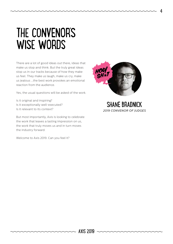### THE CONVENOR'S WISE WORDS

There are a lot of good ideas out there, ideas that make us stop and think. But the truly great ideas stop us in our tracks because of how they make us feel. They make us laugh, make us cry, make us jealous ...the best work provokes an emotional reaction from the audience.

Yes, the usual questions will be asked of the work.

Is it original and inspiring? Is it exceptionally well-executed? Is it relevant to its context?

But most importantly, Axis is looking to celebrate the work that leaves a lasting impression on us, the work that truly moves us and in turn moves the industry forward.

Welcome to Axis 2019. Can you feel it?



SHANE BRADNICK *2019 CONVENOR OF JUDGES*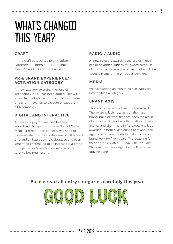### WHAT'S CHANGED THIS YEAR?

#### **CRAFT**

In the craft category, the animation category has been expanded into \*new 2D and 3D sub-categories.

#### **PR & BRAND EXPERIENCE/ ACTIVATION CATEGORY**

A \*new category awarding the "Use of Technology in PR" has been added. This will award technology that pushes the boundaries of digital innovation to execute or support a PR campaign.

### **DIGITAL AND INTERACTIVE**

A \*new category "Influencer" has been added, which expands on from "Use of Social Media". Entries in this category will need to demonstrate how the creative use of influencers or brand ambassadors, collaborative and usergenerated content led to an increase in a brand or organisation's reach and awareness and/or to drive business results.

### **RADIO / AUDIO**

A \*new category awarding the use of "Voice" has been added. Judges will award great use of innovative voice-activated technology. Think 'Google Home of the Whopper'. Any length.

### **MEDIA**

We have added an integrated sub-category into the Media category.

### **BRAND AXIS**

This is only the second year for this award. The award will shine a light on the major brand-building work that has been the result of a successful creative collaboration between agency and client, here in Aotearoa. It will be awarded to both a Marketing Client and their Agency who have created excellent creative brand work for five + years. The deadline for these entries is later – Friday 16th February. This award will be judged by the Executive Judging panel.

### **Please read all entry categories carefully this year.**

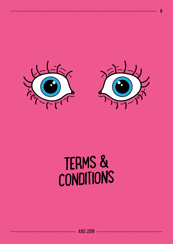



# TERMS & CONDITIONS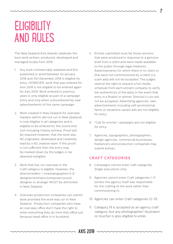### **ELIGIBILITY** AND RULES

The New Zealand Axis Awards celebrate the best work written, produced, developed and managed locally from 2018.

- 1. Any work commercially released and first published or aired between 1st January 2018 and 31st December 2018 is eligible for entry. HOWEVER, work that was entered for Axis 2018 is not eligible to be entered again for Axis 2019. Work entered in previous years is only eligible as part of a campaign entry and only when outnumbered by new advertisements of the same campaign.
- 2. Work created in New Zealand for overseas markets (which did not run in New Zealand) is now eligible in all categories and is eligible to be entered for the Grand Axis (not including Charity entries). Proof will be required however, that the work was NZ originated, developed and creatively lead by a NZ creative team. If this proof is not sufficient then the entry may be marked down by the judges or be deemed ineligible.
- 3. Work that has run overseas in the Craft category is eligible. However, the director/editor / cinematographer/3-D designer/animator/composer/sound designer or arranger MUST be domiciled in New Zealand.
- 4. Overseas production companies can submit work provided the work was run in New Zealand. Production companies who have an overseas office don't have the right to enter everything they do from that office just because head office is in Auckland.

5. Entries submitted must be those versions that were produced in response to a genuine brief from a client and were made available to the public through legal mediums. Advertisements for which there is no client or that were not commissioned by a client (i.e. scam ads) will not be accepted. The judges reserve the right to request a full media schedule from each entrant company to verify the authenticity of the ad(s) in the event that entry is a finalist or winner. Director's cuts will not be accepted. Advertising agencies' own advertisements including self-promotional items or situations vacant ads are not eligible for entry.

7

- 6. "Call for entries" campaigns are not eligible for entry.
- 7. Agencies, typographers, photographers, design agencies, commercial businesses, freelancers and production companies may submit entries.

#### **CRAFT CATEGORIES**

- 8. Campaigns cannot enter craft categories. Single executions only.
- 9. Agencies cannot enter Craft categories 1–11 (unless the agency itself was responsible for the crafting of the work rather than commissioning it).
- 10. Agencies can enter Craft categories 12–19.
- 11. Category 19 is accepted as an agency craft category, but any photographer/ illustrator/ re-toucher is also eligible to enter.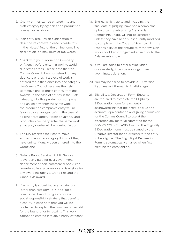- 12. Charity entries can be entered into any craft category by agencies and production companies as above.
- 13. If an entry requires an explanation to describe its context, please provide this in the 'Notes' field of the online form. The description is a maximum of 100 words.
- 14. Check with your Production Company or Agency before entering work to avoid duplicate entries. Please note that the Comms Council does not refund for any duplicate entries. If a piece of work is entered more than once into one category, the Comms Council reserves the right to remove one of those entries from the Awards. In the case of entries in the Craft category, if both a production company and an agency enter the same work, the production company's entry will be favoured over an agency's. In the case of all other categories, if both an agency and production company enter the same work, an agency's entry will be granted favour.
- 15. The jury reserves the right to move entries to another category if it is felt they have unintentionally been entered into the wrong one.
- 16. Note re Public Service: Public Service (advertising paid for by a government department or non-commercial body) can be entered in any category and is eligible for any award including a Grand Prix and the Grand Axis award.
- 17. If an entry is submitted in any category (other than category For Good) for a commercial brand using a corporate social responsibility strategy that benefits a charity, please note that you will be contacted to explain the commercial benefit for the brand prior to judging. This work cannot be entered into any Charity category.
- 18. Entries, which, up to and including the final date of judging, have had a complaint upheld by the Advertising Standards Complaints Board, will not be accepted, unless they have been subsequently modified to comply with the Codes of Practice. It is the responsibility of the entrant to withdraw such work should an infringement arise prior to the Axis Awards show.
- 19. If you are going to enter a hype video or case study, it can be no longer than two minutes duration.
- 20. You may be asked to provide a 30' version if you make it through to finalist stage.
- 21. Eligibility & Declaration Form: Entrants are required to complete the Eligibility & Declaration form for each entry acknowledging that the entry is a true and accurate representation and giving permission for the Comms Council to use at their discretion any material submitted for the COMMS COUNCIL AXIS Awards. The Eligibility & Declaration form must be signed by the Creative Director (or equivalent) for the entry to be eligible. The Eligibility & Declaration Form is automatically emailed when first creating the entry online.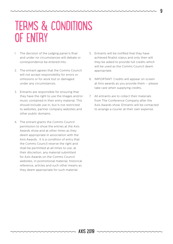### TERMS & CONDITIONS OF ENTRY

- 1. The decision of the judging panel is final and under no circumstances will debate or correspondence be entered into.
- 2. The entrant agrees that the Comms Council will not accept responsibility for errors or omissions or for work lost or damaged under any circumstances.
- 3. Entrants are responsible for ensuring that they have the right to use the images and/or music contained in their entry material. This should include use in, but is not restricted to websites, partner company websites and other public domains.
- 4. The entrant grants the Comms Council permission to show the entries at the Axis Awards show and at other times as they deem appropriate in association with the Axis Awards. It is a condition of entry that the Comms Council reserve the right and shall be permitted at all times to use, at their discretion, any material submitted for Axis Awards on the Comms Council websites, in promotional material, historical reference, articles and such other means as they deem appropriate for such material.
- 5. Entrants will be notified that they have achieved finalist status and only then will they be asked to provide full credits which will be used as the Comms Council deem appropriate.
- 6. IMPORTANT: Credits will appear on screen at Axis awards as you provide them – please take care when supplying credits.
- 7. All entrants are to collect their materials from The Conference Company after the Axis Awards show. Entrants will be contacted to arrange a courier at their own expense.

9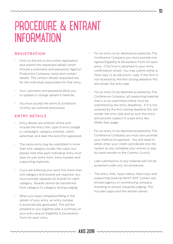### PROCEDURE & ENTRANT INFORMATION

#### **REGISTRATION**

- Click on the link to the online registration and submit the requested details which include a username and password, Agency/ Production Company name and contact details. The contact details requested are for the individual responsible for that entry.
- Your username and password allow you to update or change details if need be.
- You must accept the terms & conditions of entry (as outlined previously).

#### **ENTRY DETAILS**

- Entry details are entered online and include the entry title, type of entry (single or campaign), category entered, client/ advertiser and date the work first appeared.
- The same entry may be submitted in more than one category (under the rules), but please note that each individual entry must have its own entry form, entry number and supporting materials.
- If you are entering your work into more than one category and boards are required, you must provide separate A2 boards for each category. Boards cannot be transferred from category to category during judging.
- When you have completed filling in the details of your entry, an entry number is automatically generated. This will be emailed to you together with a summary of your entry and an Eligibility & Declaration Form for each entry.
- For an entry to be deemed accepted by The Conference Company you must provide one signed Eligibility & Declaration Form for each entry. (The form is attached to your entry confirmation email). You may submit either a hard copy or an electronic copy. If the form is not received by the first closing deadline this will render the entry late.
- For an entry to be deemed accepted by The Conference Company, all supporting material that is to be submitted online must be submitted by the entry deadlines. If it is not received by the first closing deadline this will render the entry late and as such the entry will become subject to a late entry fee. (Refer fees page)
- For an entry to be deemed accepted by The Conference Company you must also provide your method of payment. You will need to either enter your credit card details into the system as you complete your entries or pay by bank transfer to the Comms Council
- Late submissions of any material will not be accepted under any circumstances.
- The entry, links, hype videos, hard copy and supporting material MUST NOT contain any entrant/agency or contributing company branding to ensure impartial judging. This includes logos and the written names.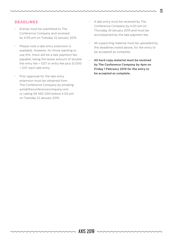### **DEADLINES**

- Entries must be submitted to The Conference Company and received by 4.00 pm on Tuesday 22 January 2019.
- Please note a late entry extension is available. However, for those wanting to use this, there will be a late payment fee payable, being the lesser amount of double the entry fee + GST or entry fee plus \$1,000 + GST each late entry.
- Prior approval for the late entry extension must be obtained from The Conference Company by emailing axis@theconferencecompany.com or calling 09 360 1240 before 4.00 pm on Tuesday 22 January 2019.

• A late entry must be received by The Conference Company by 4.00 pm on Thursday 24 January 2019 and must be accompanied by the late payment fee.

- All supporting material must be uploaded by the deadlines noted above, for the entry to be accepted as complete.
- **All hard copy material must be received by The Conference Company by 4pm on Friday 1 February 2019 for the entry to be accepted as complete.**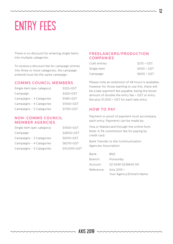# ENTRY FEES

There is no discount for entering single items into multiple categories.

To receive a discount fee for campaign entries into three or more categories, the campaign entered must be the same campaign.

#### **COMMS COUNCIL MEMBERS**

| Single item (per category) | \$325+GST  |
|----------------------------|------------|
| Campaign                   | \$420+GST  |
| Campaigns - 3 Categories   | \$1185+GST |
| Campaigns - 4 Categories   | \$1500+GST |
| Campaigns - 5 Categories   | \$1750+GST |

#### **NON-COMMS COUNCIL MEMBER AGENCIES**

| Single item (per category) | \$1500+GST   |
|----------------------------|--------------|
| Campaign                   | \$2800+GST   |
| Campaigns - 3 Categories   | \$6510+GST   |
| Campaigns - 4 Categories   | \$8270+GST   |
| Campaigns - 5 Categories   | \$10,000+GST |

#### **FREELANCERS/PRODUCTION COMPANIES**

| Craft entries | $$375 + GST$ |
|---------------|--------------|
| Single item   | $$500 + GST$ |
| Campaign      | $$600 + GST$ |

Please note an extension of 48 hours is available, however for those wanting to use this, there will be a late payment fee payable, being the lesser amount of double the entry fee + GST or entry fee plus \$1,000 + GST for each late entry.

#### **HOW TO PAY**

Payment or proof of payment must accompany each entry. Payments can be made by:

Visa or Mastercard through the online form. Note: A 3% commission fee for paying by credit card.

Bank Transfer to the Communication Agencies Association:

| Bank:      | BNZ                      |
|------------|--------------------------|
| Branch:    | Ponsonby                 |
| Account:   | 02 0248 0238645 00       |
| Reference: | Axis 2019 +              |
|            | Your Agency/Entrant Name |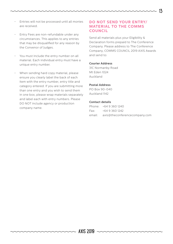- Entries will not be processed until all monies are received.
- Entry Fees are non-refundable under any circumstances. This applies to any entries that may be disqualified for any reason by the Convenor of Judges.
- You must include the entry number on all material. Each individual entry must have a unique entry number.
- When sending hard copy material, please ensure you clearly label the back of each item with the entry number, entry title and category entered. If you are submitting more than one entry and you wish to send them in one box, please wrap materials separately and label each with entry numbers. Please DO NOT include agency or production company name.

#### **DO NOT SEND YOUR ENTRY/ MATERIAL TO THE COMMS COUNCIL**

Send all materials plus your Eligibility & Declaration forms prepaid to The Conference Company. Please address to The Conference Company, COMMS COUNCIL 2019 AXIS Awards and send to:

#### **Courier Address**

31C Normanby Road Mt Eden 1024 Auckland

#### **Postal Address**

PO Box 90-040 Auckland 1142

#### **Contact details**

| Phone: +64 9 360 1240                |
|--------------------------------------|
| $Fax: +6493601242$                   |
| email: axis@theconferencecompany.com |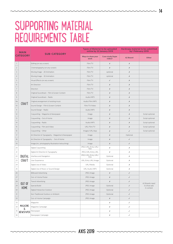### SUPPORTING MATERIAL REQUIREMENTS TABLE

| <b>MAIN</b><br><b>CATEGORY</b> |                       | <b>SUB-CATEGORY</b>                               | <b>Types of Material to be uploaded</b><br>online by 22 January 2019 |                           | <b>Hardcopy material to be submitted</b><br>by 1 February 2019 |                               |
|--------------------------------|-----------------------|---------------------------------------------------|----------------------------------------------------------------------|---------------------------|----------------------------------------------------------------|-------------------------------|
|                                |                       |                                                   | Ways to show your<br>work                                            | Case study/hype<br>video? | <b>A2 Board</b>                                                | Other                         |
| 1                              |                       | Editing (on any screen)                           | Film/TV                                                              | $\boldsymbol{\mathsf{X}}$ | $\boldsymbol{\mathsf{x}}$                                      |                               |
| $\mathbf 2$                    |                       | Cinematography (on any screen)                    | Film/TV                                                              | $\chi$                    | Х                                                              |                               |
| 3                              |                       | Moving Image - 2D Animation                       | Film/TV                                                              | optional                  | Х                                                              |                               |
| $\overline{4}$                 |                       | Moving Image - 3D Animation                       | Film/TV                                                              | optional                  | $\boldsymbol{\mathsf{x}}$                                      |                               |
| 5                              |                       | Visual Effects (on any screen)                    | Film/TV                                                              | $\checkmark$              | Х                                                              |                               |
| 6                              |                       | Art Direction                                     | Film/TV                                                              | $\boldsymbol{\mathsf{X}}$ | $\boldsymbol{\mathsf{x}}$                                      |                               |
| 7                              |                       | Direction                                         | Film/TV                                                              | $\chi$                    | Х                                                              |                               |
| $\,8\,$                        |                       | Original Soundtrack - Film & Screen Content       | Film/TV                                                              | $\chi$                    | $\chi$                                                         |                               |
| $\mathsf 9$                    |                       | Original Soundtrack - Radio                       | Audio/MP3                                                            | $\boldsymbol{x}$          | $\boldsymbol{\mathsf{x}}$                                      |                               |
| 9a                             |                       | Original arrangement of existing music            | Audio/Film/MP3                                                       | $\chi$                    | Х                                                              |                               |
| $10$                           | <b>CRAFT</b>          | Sound Design - Film & Screen Content              | Film/TV/Video                                                        | $\boldsymbol{\mathsf{X}}$ | $\boldsymbol{\mathsf{x}}$                                      |                               |
| 11                             |                       | Sound Design - Radio                              | Audio/MP3                                                            | $\boldsymbol{x}$          | Х                                                              |                               |
| 12                             |                       | Copywriting - Magazine & Newspaper                | Image                                                                | $\chi$                    | $\boldsymbol{\mathsf{x}}$                                      | Script optional               |
| 13                             |                       | Copywriting - Out of Home                         | Image                                                                | $\chi$                    | $\boldsymbol{\mathsf{x}}$                                      | Script optional               |
| 14                             |                       | Copywriting - Radio                               | Audio/MP3                                                            | $\chi$                    | $\chi$                                                         | Script optional               |
| 15                             |                       | Copywriting - Film and Video                      | URL/Film/TV                                                          | $\chi$                    | Х                                                              | Script optional               |
| 16                             |                       | Copywriting - Other                               | Images/URL/App                                                       | $\chi$                    | $\checkmark$                                                   | Script optional               |
| $17\,$                         |                       | Art Direction & Typography - Magazine & Newspaper | Image                                                                | $\boldsymbol{\mathsf{X}}$ | Optional                                                       |                               |
| 18                             |                       | Art Direction & Typography - Out of Home          | Image                                                                | $\boldsymbol{\mathsf{X}}$ | ✓                                                              |                               |
| 19                             |                       | Image (inc. photography/illustration/retouching)  | Image                                                                | $\chi$                    | $\checkmark$                                                   |                               |
| 20                             |                       | Digital Copywriting                               | JPEG/URL/Entry URL/<br>App                                           | Х                         | Х                                                              |                               |
| 21                             |                       | Digital Art Direction & Typography                | JPEG/URL/Entry URL                                                   | Х                         | Х                                                              |                               |
| 22                             | DIGITAL               | Interface and Navigation                          | JPEG/URL/Entry URL/<br>Film                                          | Optional                  | Х                                                              |                               |
| 23                             | <b>CRAFT</b>          | User Experience                                   | URL/Entry URL/Image                                                  | Optional                  | Х                                                              |                               |
| 24                             |                       | Digital Use of Video                              | URL/Media                                                            | Optional                  | Х                                                              |                               |
| 25                             |                       | Digital Use of Music or Sound Design              | URL/Audio/MP3                                                        | Optional                  | Х                                                              |                               |
| 26                             |                       | <b>Billboard Advertising</b>                      | JPEG Image                                                           | $\boldsymbol{\mathsf{X}}$ | $\checkmark$                                                   |                               |
| 27                             |                       | Out-of-Home Poster                                | JPEG Image                                                           | Х                         | $\checkmark$                                                   |                               |
| 28                             | OUT OF<br><b>HOME</b> | <b>Transit Advertising</b>                        | JPEG Image                                                           | Х                         | ✓                                                              |                               |
| 29                             |                       | Special Build                                     | JPEG Image                                                           | Optional                  | ✓                                                              | A2 Boards need<br>to show ads |
| 30                             |                       | Digital/Interactive Outdoor                       | JPEG Image                                                           | Optional                  | $\checkmark$                                                   | in context                    |
| 31                             |                       | Non Traditional Outdoor or Ambient                | JPEG Image                                                           | Optional                  | $\checkmark$                                                   |                               |
| 32                             |                       | Out-of-Home Campaign                              | JPEG Image                                                           | Х                         | $\checkmark$                                                   |                               |
| 33                             |                       | Magazine                                          |                                                                      | Х                         | ✓                                                              |                               |
| 34                             | MAGAZINE              | Magazine Campaign                                 |                                                                      | Х                         | ✓                                                              |                               |
| 35                             | &<br><b>NEWSPAPER</b> | Newspaper                                         |                                                                      | Х                         | ✓                                                              |                               |
| 36                             |                       | Newspaper Campaign                                |                                                                      | Х                         | ✓                                                              |                               |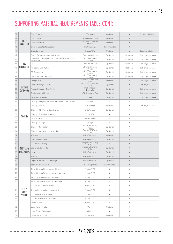### SUPPORTING MATERIAL REQUIREMENTS TABLE CONT:

| 37 | <b>DIRECT</b><br><b>MARKETING</b> | Direct Physical                                              | JPEG Image                     | Optional    | Х            | Opt. physical piece |
|----|-----------------------------------|--------------------------------------------------------------|--------------------------------|-------------|--------------|---------------------|
| 38 |                                   | Direct Digital                                               | URL/Example/Image              | Optional    | Х            |                     |
| 39 |                                   | Direct Broadcast                                             | Video/URL/Entry URL/<br>Images | Optional    | Х            |                     |
| 40 |                                   | Creative Use of Data in Direct                               | URL/Image/App                  | Recommended | Х            |                     |
| 41 |                                   | Direct Campaign                                              | Images/URL                     | Optional    | Х            | Opt. physical piece |
| 42 |                                   | Brand Experience and Activation                              | Example/Images                 | Optional    | Optional     | Opt. physical piece |
| 43 |                                   | Integrated Campaign Lead by Brand Experience &<br>Activation | URL/Examples/<br>Image         | Optional    | Optional     | Opt. physical piece |
| 44 | PR/                               | PR                                                           | Example/Images                 | Optional    | Optional     | Opt. physical piece |
| 45 | EXPERIENTIAL                      | PR Social and Digital                                        | URL/Examples/<br>Image         | Optional    | Optional     | Opt. physical piece |
| 46 |                                   | PR Campaign                                                  | URL/Examples/<br>Image         | Optional    | Optional     | Opt. physical piece |
| 47 |                                   | Use of Technology in PR                                      | URL/Examples/<br>Image         | Optional    | Optional     | Opt. physical piece |
| 48 |                                   | Design 360                                                   | JPEG/URL/Example/<br>App       | Optional    | $\checkmark$ | Opt. physical piece |
| 49 |                                   | Product Design - Tech                                        | JPEG/URL/Example/<br>App       | Optional    | $\chi$       | Opt. physical piece |
| 50 | <b>DESIGN</b>                     | Product Design - Non Tech                                    | JPEG Images/<br>Example        | Optional    | Х            | Opt. physical piece |
| 51 | CATEGORY                          | Environmental Design                                         | URL/Example/App                | Optional    | Х            | Opt. physical piece |
| 52 |                                   | <b>Experience Design</b>                                     | Images                         | Optional    | Х            | Opt. physical piece |
| 53 |                                   | Charity - Magazine & Newspaper OR Out of Home                | Image                          | Х           | ✓            |                     |
| 54 |                                   | Charity - Direct                                             | URL/Image                      | Optional    | Х            | Opt. physical piece |
| 55 |                                   | Charity - PR/Promo & Activation                              | URL/Image                      | Optional    | ✓            |                     |
| 56 |                                   | Charity - Digital or Screen                                  | Film/URL                       | Х           | Х            |                     |
| 57 | <b>CHARITY</b>                    | Charity - Radio                                              | Audio/MP3                      | Х           | Х            |                     |
| 58 |                                   | Charity - Design                                             | Image                          | Х           | Х            |                     |
| 59 |                                   | Charity - Campaign                                           | Audio/MP3/Url/<br>Images       | Optional    | ✓            |                     |
| 60 |                                   | Charity - Creative Use of Media                              | Audio/MP3/Url/<br>Images       | Optional    | ✓            |                     |
| 61 |                                   | Website                                                      | URL/Entry URL                  | Optional    | Х            |                     |
| 62 |                                   | Campaign Website                                             | URL/Entry URL                  | Optional    | $\chi$       |                     |
| 63 |                                   | Online advertising                                           | Images/URL/Entry<br>URL        | Х           | Х            |                     |
| 64 | DIGITAL &                         | Use of Social Media                                          | Images/URL/Entry<br>URL        | Optional    | Х            |                     |
| 65 | <b>INTERACTIVE</b>                | Influencer                                                   | URL/Entry URL                  | Optional    | Х            |                     |
| 66 |                                   | Mobile                                                       | URL/Entry URL                  | Optional    | $\chi$       |                     |
| 67 |                                   | Digital & Interactive Campaign                               | URL/Entry URL                  | Optional    | Х            |                     |
| 68 |                                   | Tech Driven Creative                                         | URL/Image/App                  | Recommended | Х            |                     |
| 69 |                                   | TV or Cinema 30' or below (Single)                           | Video/TVC                      | Х           | Х            |                     |
| 70 |                                   | TV or Cinema 30' or below (Campaign)                         | Video/TVC                      | Х           | Х            |                     |
| 71 |                                   | TV or Cinema above 30' (Single)                              | Video/TVC                      | Х           | Х            |                     |
| 72 | FILM &<br>VIDEO<br>CONTENT        | TV or Cinema above 30' (Campaign)                            | Video/TVC                      | Х           | Х            |                     |
| 73 |                                   | Online 30' or below (Single)                                 | Video/TVC                      | Х           | Х            |                     |
| 74 |                                   | Online 30' or below (Campaign)                               | Video/TVC                      | Х           | Х            |                     |
| 75 |                                   | Online above 30' (Single)                                    | Video/TVC                      | Х           | Х            |                     |
| 76 |                                   | Online above 30' (Campaign)                                  | Video/TVC                      | Х           | Х            |                     |
| 77 |                                   | Social Video                                                 | Video/TVC                      | Х           | Х            |                     |
| 78 |                                   | Long Form (Single)                                           | Video                          | Optional    | Х            |                     |
| 79 |                                   | Long Form (Campaign)                                         | Videos                         | Х           | Х            |                     |
| 80 |                                   | Large Scale Content                                          | Video/URL                      | Optional    | Х            |                     |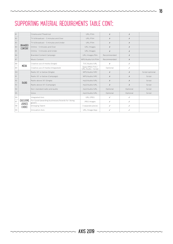### SUPPORTING MATERIAL REQUIREMENTS TABLE CONT:

| 81 | BRANDED<br><b>CONTENT</b>                          | Cinema and Theatrical                                     | URL/Film                             | $\chi$      | Х        |                 |
|----|----------------------------------------------------|-----------------------------------------------------------|--------------------------------------|-------------|----------|-----------------|
| 82 |                                                    | TV & Broadcast - 5 minutes and Over                       | URL/Film                             | X           | $\chi$   |                 |
| 83 |                                                    | TV & Broadcast - 5 minutes and Under                      | URI /Film                            | Х           | Х        |                 |
| 84 |                                                    | Online - 5 minutes and Over                               | URL/images                           | X           | Х        |                 |
| 85 |                                                    | Online - 5 minutes and Under                              | URL/images                           | $\chi$      | X        |                 |
| 86 |                                                    | Branded Content Campaign                                  | URL/images/film                      | Recommended | Х        |                 |
| 87 |                                                    | Music Content                                             | MP3/Audio/Url/Film                   | Recommended | Х        |                 |
| 88 |                                                    | Creative use of media (Single)                            | TVC/Audio/URL                        | Х           | ✓        |                 |
| 89 | MEDIA                                              | Creative use of media (Integrated)                        | Apps/JPEG/TVC/<br>URL/Audio + Script | Optional    | ✓        |                 |
| 90 |                                                    | Radio 30' or below (Single)                               | MP3/Audio/VRC                        | Х           | Х        | Script optional |
| 91 |                                                    | Radio 30' or below (Campaign)                             | MP3/Audio/VRC                        | Х           | Х        | Script          |
| 92 |                                                    | Radio above 30' (Single)                                  | mp3/Audio/URL                        | Х           | Х        | Script          |
| 93 | RADIO                                              | Radio above 30' (Campaign)                                | mp3/Audio/URL                        | $\chi$      | $\chi$   | Script          |
| 94 |                                                    | Non-standard radio and audio                              | mp3/Audio/URL                        | Optional    | Optional | Script          |
| 95 |                                                    | Voice                                                     | mp3/Audio/URL                        | Optional    | Optional | Script          |
| 96 |                                                    | Integrated Axis                                           | URL/JPEG                             | ✓           | ✓        |                 |
| 97 | <b>EXECUTIVE</b><br><b>JUDGES</b><br><b>CHOICE</b> | For Good (awarding businesses/brands for 'doing<br>good') | JPEG Images                          | ✓           | ✓        |                 |
| 98 |                                                    | <b>Emerging Talent</b>                                    | 3 separate pieces                    | ✓           | ✓        |                 |
| 99 |                                                    | <b>Innovation Axis</b>                                    | URL/Image/App                        | ✓           | ✓        |                 |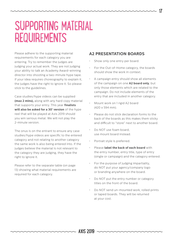### SUPPORTING MATERIAL REQUIREMENTS

Please adhere to the supporting material requirements for each category you are entering. Try to remember the judges are judging your actual work. They are not judging your ability to talk an Academy Award-winning director into shooting a two-minute hype tape. If your idea requires choreography to explain it, the judges have the right to ignore it. So please stick to the guidelines.

Case studies/hype videos can be supplied **(max 2 mins),** along with any hard copy material that supports your entry. This year **finalists will also be asked for a 30' version** of the hype reel that will be played at Axis 2019 should you win serious metal. We will not play the 2-minute version.

The onus is on the entrant to ensure any case studies/hype videos are specific to the entered category and not relating to another category the same work is also being entered into. If the judges believe the material is not relevant to the category they are judging, they have the right to ignore it.

Please refer to the separate table (on page 13) showing what material requirements are required for each category.

#### **A2 PRESENTATION BOARDS**

- Show only one entry per board.
- For the Out-of-Home category, the boards should show the work in context.
- A campaign entry should show all elements of the campaign on one **A2 board only**, but only those elements which are related to the campaign. Do not include elements of the entry that are included in another category.
- Mount work on 1 rigid A2 board (420 x 594 mm).
- Please do not stick declaration forms to the back of the boards as this makes them sticky and difficult to "store" next to another board.
- Do NOT use foam board, use mount board instead.
- Portrait style is preferred.
- Please **label the back of each board** with the entry number, entry title, type of entry (single or campaign) and the category entered.
- For the purpose of judging impartiality, do NOT put your agency/company logo or branding anywhere on the board.
- Do NOT put the entry number or category titles on the front of the board.
- Do NOT send un-mounted work, rolled prints or taped boards. They will be returned at your cost.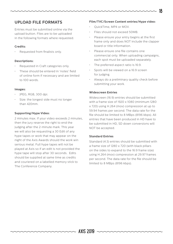### **UPLOAD FILE FORMATS**

Entries must be submitted online via the upload button. Files are to be uploaded in the following formats where requested.

#### **Credits:**

• Requested from finalists only.

#### **Descriptions:**

- Requested in Craft categories only.
- These should be entered in 'notes' field of online form if necessary and are limited to 100 words.

#### **Images:**

- JPEG, RGB, 300 dpi.
- Size: the longest side must no longer than 420mm.

#### **Supporting/Hype Video:**

2 minutes max. If your video exceeds 2 minutes, then the jury reserve the right to end the judging after the 2-minute mark. This year we will also be requesting a 30 Edit of any hype tapes or work that may appear on the night of the Axis Awards should the work win serious metal. Full hype tapes will not be played at Axis so if an edit is not provided the hype tape will stop after 30 seconds. Edits should be supplied at same time as credits and couriered on a labelled memory stick to The Conference Company.

#### **Film/TVC/Screen Content entries/Hype video:**

- QuickTime, MP4 or MOV.
- Files should not exceed 50MB.
- Please ensure your entry begins at the first frame only and does NOT include the clapper board or title information.
- Please ensure one file contains one commercial only. When uploading campaigns, each spot must be uploaded separately.
- The preferred aspect ratio is 16:9.
- Spots will be viewed on a 16:9 screen for judging.
- Always do a preliminary quality check before submitting your work.

#### **Widescreen Entries**

Widescreen (16:9) entries should be submitted with a frame size of 1920 x 1080 (minimum 1280 x 720) using H.264 (mov) compression at up to 59.94 frames per second. The data rate for the file should be limited to 8 MBps (8196 kbps). All entries that have been produced in HD have to be submitted in HD, SD down conversions will NOT be accepted.

#### **Standard Entries**

Standard (4:3) entries should be submitted with a frame size of 1280 x 720 (with black pillars on the sides to expand to the 16:9 frame size) using H.264 (mov) compression at 29.97 frames per second. The data rate for the file should be limited to 8 MBps (8196 kbps).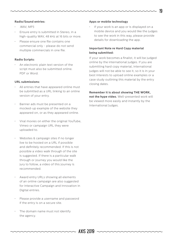#### **Radio/Sound entries:**

- .WAV, MP3
- Ensure entry is submitted in Stereo, in a high-quality WAV, 48 kHz at 16 bits or more.
- Please ensure one file contains one commercial only - please do not send multiple commercials in one file.

#### **Radio Scripts:**

• An electronic plain text version of the script must also be submitted online. PDF or Word.

#### **URL submissions:**

- All entries that have appeared online must be submitted as a URL linking to an online version of your entry.
- Banner ads must be presented on a mocked-up example of the website they appeared on, or as they appeared online.
- Viral movies on either the original YouTube, Vimeo or campaign URL they were uploaded to.
- Websites & campaign sites if no longer live to be hosted on a URL if possible and definitely recommended. If this is not possible a video walk through of the site is suggested. If there is a particular walk through or journey you would like the jury to follow, a video of this journey is recommended.
- Award entry URLs showing all elements of an online campaign are also suggested for Interactive Campaign and Innovation in Digital entries.
- Please provide a username and password if the entry is on a secure site.
- The domain name must not identify the agency.

#### **Apps or mobile technology**

If your work is an app or is displayed on a mobile device and you would like the judges to see the work in this way, please provide details for downloading the app.

#### **Important Note re Hard Copy material being submitted:**

If your work becomes a finalist, it will be judged online by the international judges. If you are submitting hard copy material, international judges will not be able to see it, so it is in your best interests to upload online examples or a case study outlining this material by the entry closing dates.

**Remember it is about showing THE WORK, not the hype video.** Well-presented work will be viewed more easily and instantly by the International Judges.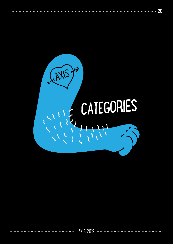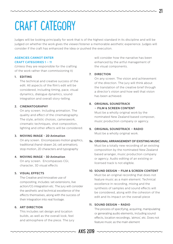## CRAFT CATEGORY

Judges will be looking principally for work that is of the highest standard in its discipline and will be judged on whether the work gives the viewer/listener a memorable aesthetic experience. Judges will consider if the craft has enhanced the idea or pushed the execution.

#### **AGENCIES CANNOT ENTER CRAFT CATEGORIES 1 – 11**

(Unless they are responsible for the crafting of the work rather than commissioning it)

#### **1. EDITING**

The technical and creative success of the edit. All aspects of the film's edit will be considered, including timing, pace, visual dynamics, dialogue dynamics, sound integration and overall story-telling.

#### **2. CINEMATOGRAPHY**

On any screen. Including animation. The quality and effect of the cinematography. The style, artistic choices, camerawork, cinematic techniques, shot composition, lighting and other effects will be considered.

#### **3. MOVING IMAGE - 2D Animation**

On any screen. Encompasses motion graphics, traditional (hand-drawn 2d, cell animation), stop motion, 2D characters and typography

#### **4. MOVING IMAGE - 3D Animation**

On any screen. Encompasses CGI, character, 3D visual effects

#### **5. VISUAL EFFECTS**

The Creative and innovative use of compositing, includes: set extensions, live action/CG integration etc. The jury will consider the aesthetic and technical excellence of the effects themselves, along with the success of their integration into real footage.

#### **6. ART DIRECTION**

This includes set design and location builds, as well as the overall look, feel and atmosphere of the piece. The jury will consider how the narrative has been enhanced by the artful management of the visual components.

#### **7. DIRECTION**

On any screen. The vision and achievement of the direction. The jury will think about the translation of the creative brief through a director's vision and how well that vision has been achieved.

#### **8. ORIGINAL SOUNDTRACK – FILM & SCREEN CONTENT**

Must be a wholly original work by the nominated New Zealand based composer, music production company or agency.

- **9. ORIGINAL SOUNDTRACK RADIO** Must be a wholly original work.
- **9. ORIGINAL ARRANGEMENT OF EXISTING MUSIC a.** Must be a totally new recording of an existing composition by the nominated New Zealand based arranger, music production company or agency. Audio editing of an existing or licensed track is not eligible.

#### **10. SOUND DESIGN – FILM & SCREEN CONTENT**

Must be an original recording that does not feature music as a main element. Technical excellence in recording, mixing and the synthesis of samples and sound effects will be considered, along with the cohesion of the edit and its impact on the overall piece

#### **11. SOUND DESIGN – RADIO**

The process of specifying, acquiring, manipulating or generating audio elements, including sound effects, location recordings, 'atmos', etc. Does not feature music as the main element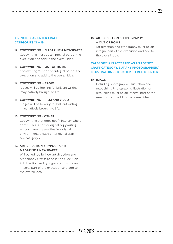#### **AGENCIES CAN ENTER CRAFT CATEGORIES 12 – 19.**

**12. COPYWRITING – MAGAZINE & NEWSPAPER** Copywriting must be an integral part of the execution and add to the overall idea.

#### **13. COPYWRITING – OUT OF HOME**

Copywriting must be an integral part of the execution and add to the overall idea.

#### **14. COPYWRITING – RADIO**

Judges will be looking for brilliant writing imaginatively brought to life.

#### **15. COPYWRITING – FILM AND VIDEO**

Judges will be looking for brilliant writing imaginatively brought to life.

#### **16. COPYWRITING - OTHER**

Copywriting that does not fit into anywhere above. This is not for digital copywriting – if you have copywriting in a digital environment, please enter digital craft – see category 20.

#### **17. ART DIRECTION & TYPOGRAPHY – MAGAZINE & NEWSPAPER**

Will be judged by how art direction and typography craft is used in the execution. Art direction and typography must be an integral part of the execution and add to the overall idea.

#### **18. ART DIRECTION & TYPOGRAPHY – OUT OF HOME**

Art direction and typography must be an integral part of the execution and add to the overall idea.

#### **CATEGORY 19 IS ACCEPTED AS AN AGENCY CRAFT CATEGORY, BUT ANY PHOTOGRAPHER/ ILLUSTRATOR/RETOUCHER IS FREE TO ENTER**

#### **19. IMAGE**

Including photography, illustration and retouching. Photography, illustration or retouching must be an integral part of the execution and add to the overall idea.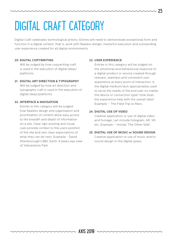# DIGITAL CRAFT CATEGORY

Digital Craft celebrates technological artistry. Entries will need to demonstrate exceptional form and function in a digital context; that is, work with flawless design, masterful execution and outstanding user experience created for all digital environments.

#### **20. DIGITAL COPYWRITING**

Will be judged by how copywriting craft is used in the execution of digital ideas/ platforms.

#### **21. DIGITAL ART DIRECTION & TYPOGRAPHY**

Will be judged by how art direction and typography craft is used in the execution of digital ideas/platforms.

#### **22. INTERFACE & NAVIGATION**

Entries in this category will be judged how flawless design and organisation and piroritisation of content allow easy access to the breadth and depth of information on a site. Clear sign-posting and visual cues provide context to the users position of the site and sets clear expectations of what they can do next. Example - David Attenborough's BBC Earth 'A bears eye view of Yellowstone Park.

#### **23. USER EXPERIENCE**

Entries in this category will be judged on the emotional and behavioural response to a digital product or service created through relevant, seamless and consistent user experience at every point of interaction. Is the digital medium/tech appropriately used to serve the needs of the end user no matter the device or connection type? How does the experience help with the overall idea? Example – The Field Trip to Mars.

#### **24. DIGITAL USE OF VIDEO**

Creative application or use of digital video and footage; can include hologram, AR, VR, etc. Example – Honda 'The Other Side'.

#### **25. DIGITAL USE OF MUSIC or SOUND DESIGN**

Creative application or use of music and/or sound design in the digital space.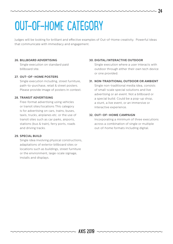# OUT–OF–HOME CATEGORY

Judges will be looking for brilliant and effective examples of Out-of-Home creativity. Powerful ideas that communicate with immediacy and engagement.

#### **26. BILLBOARD ADVERTISING**

Single execution on standard paid billboard site.

#### **27. OUT–OF–HOME POSTERS**

Single execution including, street furniture, path-to-purchase, retail & street posters. Please provide image of posters in context.

#### **28. TRANSIT ADVERTISING**

Free-format advertising using vehicles or transit sites/locations This category is for advertising on cars, trains, buses, taxis, trucks, airplanes etc. or the use of transit sites such as car parks, airports, stations (bus & train), ferry ports, roads and driving tracks.

#### **29. SPECIAL BUILD**

Single idea involving physical constructions, adaptations of exterior billboard sites or locations such as buildings, street furniture or the environment, large-scale signage, installs and displays.

#### **30. DIGITAL/INTERACTIVE OUTDOOR**

Single execution where a user interacts with outdoor through either their own tech device or one provided.

#### **31. NON-TRADITIONAL OUTDOOR OR AMBIENT**

Single non-traditional media idea, consists of small-scale special solutions and live advertising or an event. Not a billboard or a special build. Could be a pop-up shop, a stunt, a live event, or an immersive or interactive experience.

#### **32. OUT–OF–HOME CAMPAIGN**

Incorporating a minimum of three executions across a combination of single or multiple out-of-home formats including digital.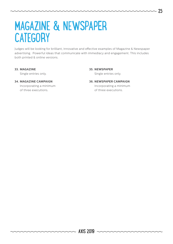### MAGAZINE & NEWSPAPER **CATEGORY**

Judges will be looking for brilliant, innovative and effective examples of Magazine & Newspaper advertising. Powerful ideas that communicate with immediacy and engagement. This includes both printed & online versions.

#### **33. MAGAZINE**

Single entries only.

#### **34. MAGAZINE CAMPAIGN**

Incorporating a minimum of three executions.

**35. NEWSPAPER** Single entries only.

**36. NEWSPAPER CAMPAIGN** Incorporating a minimum of three executions.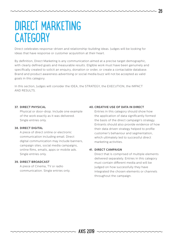### DIRECT MARKETING **CATEGORY**

Direct celebrates response-driven and relationship-building ideas. Judges will be looking for ideas that have response or customer acquisition at their heart.

By definition, Direct Marketing is any communication aimed at a precise target demographic, with clearly defined goals and measurable results. Eligible work must have been genuinely and specifically created to solicit an enquiry, donation or order, or create a contactable database. Brand and product awareness advertising or social media buzz will not be accepted as valid goals in this category.

In this section, Judges will consider the IDEA, the STRATEGY, the EXECUTION, the IMPACT AND RESULTS.

#### **37. DIRECT PHYSICAL**

Physical or door-drop. Include one example of the work exactly as it was delivered. Single entries only.

#### **38. DIRECT DIGITAL**

A piece of direct online or electronic communication including email. Direct digital communication may include banners, campaign sites, social media campaigns, online films, emails, apps or mobile ads. Single entries only.

#### **39. DIRECT BROADCAST**

A piece of Cinema, TV or radio communication. Single entries only.

#### **40. CREATIVE USE OF DATA IN DIRECT**

Entries in this category should show how the application of data significantly formed the basis of the direct campaign's strategy. Entrants should also provide evidence of how their data driven strategy helped to profile customer's behaviour and segmentation, which ultimately led to successful direct marketing activities.

#### **41. DIRECT CAMPAIGN**

Direct that is comprised of multiple elements delivered separately. Entries in this category must contain different media and will be judged on how successfully they have integrated the chosen elements or channels throughout the campaign.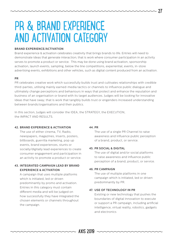### PR & BRAND EXPERIENCE AND ACTIVATION CATEGORY

#### **BRAND EXPERIENCE/ACTIVATION**

Brand experience & activation celebrates creativity that brings brands to life. Entries will need to demonstrate ideas that generate interaction; that is work where consumer participation in an activity serves to promote a product or service. This may be done using brand activation, sponsorship activation, launch events, sampling, below the line competitions, experiential, events, in-store advertising events, exhibitions and other vehicles, such as digital content produced from an activation.

#### **PR**

PR celebrates creative work which successfully builds trust and cultivates relationships with credible third-parties, utilising mainly earned-media tactics or channels to influence public dialogue and ultimately change perceptions and behaviours in ways that protect and enhance the reputation and business of an organisation or brand with its target audiences. Judges will be looking for innovative ideas that have sway; that is work that tangibly builds trust or engenders increased understanding between brands/organisations and their publics.

In this section, Judges will consider the IDEA, the STRATEGY, the EXECUTION, the IMPACT AND RESULTS.

#### **42. BRAND EXPERIENCE & ACTIVATION**

The use of either cinema, TV, Radio, newspapers, magazines, inserts, posters, billboards, guerrilla marketing, pop up events, brand experiences, stunts or socially/digitally lead experiences to create consumer engagement and participation in an activity to promote a product or service.

#### **43. INTEGRATED CAMPAIGN LEAD BY BRAND EXPERIENCE & ACTIVATION**

A campaign that uses multiple platforms which is initiated, led or driven predominantly by promo and activation. Entries in this category must contain different media and will be judged on how successfully they have integrated the chosen elements or channels throughout the campaign.

#### **44. PR**

The use of a single PR Channel to raise awareness and influence public perception of a brand, product, or service.

#### **45. PR SOCIAL & DIGITAL**

The use of digital and/or social platforms to raise awareness and influence public perception of a brand, product, or service.

#### **46. PR CAMPAIGN**

The use of multiple platforms in one campaign which is initiated, led or driven predominantly by PR.

#### **47. USE OF TECHNOLOGY IN PR**

Existing or new technology that pushes the boundaries of digital innovation to execute or support a PR campaign, including artificial intelligence, virtual reality, robotics, gadgets and electronics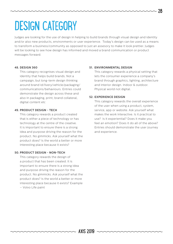### DESIGN CATEGORY

Judges are looking for the use of design in helping to build brands through visual design and identity and/or also new products, environments or user experience. Today's design can be used as a means to transform a business/community as opposed to just an assesory to make it look prettier. Judges will be looking to see how design has informed and moved a brand communication or product messages forward.

#### **48. DESIGN 360**

This category recognises visual design and identity that helps build brands. Not a campaign, but long-term design thinking around brand id/livery/vehicle/packaging/ communications/behaviours. Entries could demonstrate the design across these and also in packaging, print, brand collateral, digital content etc

#### **49. PRODUCT DESIGN - TECH**

This category rewards a product created that is either a piece of technology or has technology at the centre of the creative. It is important to ensure there is a strong idea and purpose driving the reason for the product. No gimmicks. Ask yourself what the product does? Is the world a better or more interesting place because it exists?

#### **50. PRODUCT DESIGN - NON-TECH**

This category rewards the design of a product that has been created. It is important to ensure there is a strong idea and purpose driving the reason for the product. No gimmicks. Ask yourself what the product does? Is the world a better or more interesting place because it exists? Example – Volvo Life paint

#### **51. ENVIRONMENTAL DESIGN**

This category rewards a physical setting that lets the consumer experience a company's brand through graphics, lighting, architecture and interior design. Indoor & outdoor. Physical world not digital.

#### **52. EXPERIENCE DESIGN**

This category rewards the overall experience of the user when using a product, system, service, app or website. Ask yourself what makes the work interactive. Is it practical to use? Is it experiential? Does it make you feel an emotion? Does it do all of the above? Entries should demonstrate the user journey and experience.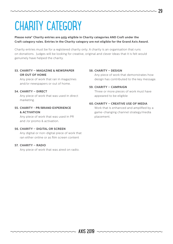## CHARITY CATEGORY

#### **Please note\* Charity entries are only eligible in Charity categories AND Craft under the Craft category rules. Entries in the Charity category are not eligible for the Grand Axis Award.**

Charity entries must be for a registered charity only. A charity is an organisation that runs on donations. Judges will be looking for creative, original and clever ideas that it is felt would genuinely have helped the charity.

#### **53. CHARITY – MAGAZINE & NEWSPAPER OR OUT OF HOME**

Any piece of work that ran in magazines and/or newspapers or out of home.

#### **54. CHARITY – DIRECT**

Any piece of work that was used in direct marketing.

#### **55. CHARITY - PR/BRAND EXPERIENCE & ACTIVATION**

Any piece of work that was used in PR and /or promo & activation.

#### **56. CHARITY – DIGITAL OR SCREEN**

Any digital or non-digital piece of work that ran either online or as film screen content

#### **57. CHARITY – RADIO**

Any piece of work that was aired on radio.

#### **58. CHARITY – DESIGN**

Any piece of work that demonstrates how design has contributed to the key message.

#### **59. CHARITY – CAMPAIGN**

Three or more pieces of work must have appeared to be eligible

#### **60. CHARITY – CREATIVE USE OF MEDIA**

Work that is enhanced and amplified by a game-changing channel strategy/media placement.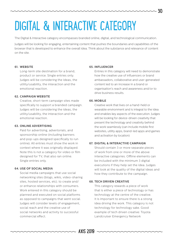# DIGITAL & INTERACTIVE CATEGORY

The Digital & Interactive category encompasses branded online, digital, and technological communication.

Judges will be looking for engaging, entertaining content that pushes the boundaries and capabilities of the browser that is developed to enhance the overall idea. Think about the substance and relevance of content on the site.

#### **61. WEBSITE**

Long-term site destination for a brand, product or service. Single entries only. Judges will be considering the ideas, the utility/usability, the interaction and the emotional reaction.

#### **62. CAMPAIGN WEBSITE**

Creative, short-term campaign sites made specifically to support a branded campaign. Judges will be considering the ideas, the utility/usability, the interaction and the emotional reaction.

#### **63. ONLINE ADVERTISING**

Paid for advertising, advertorials, and sponsorship online (including banners and pop-ups designed specifically to run online). All entries must show the work in context where it was originally displayed. Note this is not a category for video or film designed for TV, that also ran online. Single entries only.

#### **64. USE OF SOCIAL MEDIA**

Social media campaigns that use social networking sites (blogs, wikis, video-sharing sites, hosted services, etc). to create and/ or enhance relationships with consumers. Work entered in this category should be planned and executed on social platforms as opposed to campaigns that went social. Judges will consider levels of engagement, social reach and the creative use of social networks and activity to successful commercial effect.

#### **65. INFLUENCER**

Entries in this category will need to demonstrate how the creative use of influencers or brand ambassadors, collaborative and user-generated content led to an increase in a brand or organisation's reach and awareness and/or to drive business results.

#### **66. MOBILE**

Creative work that lives on a hand-held or wearable environment and is integral to the idea and enables key aspects of the execution. Judges will be looking for device-driven creativity that present the technology and creativity behind the work seamlessly (can include mobile first websites, utility apps, brand-led apps and games and activation by location)

#### **67. DIGITAL & INTERACTIVE CAMPAIGN**

Should contain 3 or more separate pieces of work from one or more of the above interactive categories. Offline elements can be included with the minimum 3 digital executions if they help set the idea. Judges will look at the quality of the digital ideas and how they contribute to the campaign.

#### **68. TECH DRIVEN CREATIVE**

This category rewards a piece of work that is either a piece of technology or has technology at the centre of the creative. It is important to ensure there is a strong idea driving the work. This category is not technology for technology sake. Good example of tech driven creative: Toyota Landcruiser Emergency Network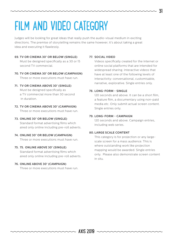# FILM AND VIDEO CATEGORY

Judges will be looking for great ideas that really push the audio-visual medium in exciting directions. The premise of storytelling remains the same however; it's about taking a great idea and executing it flawlessly.

- **69. TV OR CINEMA 30' OR BELOW (SINGLE)** Must be designed specifically as a 30 or 15 second TV commercial.
- **70. TV OR CINEMA 30' OR BELOW (CAMPAIGN)** Three or more executions must have run.
- **71. TV OR CINEMA ABOVE 30' (SINGLE)** Must be designed specifically as a TV commercial more than 30 second

in duration.

- **72. TV OR CINEMA ABOVE 30' (CAMPAIGN)** Three or more executions must have run.
- **73. ONLINE 30' OR BELOW (SINGLE)** Standard format advertising films which aired only online including pre-roll adverts.
- **74. ONLINE 30' OR BELOW (CAMPAIGN)** Three or more executions must have run.
- **75. 75. ONLINE ABOVE 30' (SINGLE)**

Standard format advertising films which aired only online including pre-roll adverts.

#### **76. ONLINE ABOVE 30' (CAMPAIGN)**

Three or more executions must have run.

#### **77. SOCIAL VIDEO**

Videos specifically created for the internet or online social platforms that are intended for widespread sharing. Interactive videos that have at least one of the following levels of interactivity: conversational, customisable, narrative, explorative. Single entries only.

#### **78. LONG-FORM - SINGLE**

120 seconds and above. It can be a short film, a feature film, a documentary using non-paid media etc. Only submit actual screen content. Single entries only.

#### **79. LONG-FORM - CAMPAIGN**

120 seconds and above. Campaign entries, including web series.

#### **80. LARGE SCALE CONTENT**

This category is for projection or any largescale screen for a mass audience. This is where outstanding work like projection mapping would be awarded. Single entries only. Please also demonstrate screen content in situ.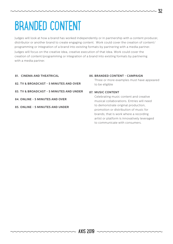# BRANDED CONTENT

Judges will look at how a brand has worked independently or in partnership with a content producer, distributor or another brand to create engaging content. Work could cover the creation of content/ programming or integration of a brand into existing formats by partnering with a media partner. Judges will focus on the creative idea, creative execution of that idea. Work could cover the creation of content/programming or integration of a brand into existing formats by partnering with a media partner.

- **81. CINEMA AND THEATRICAL**
- **82. TV & BROADCAST 5 MINUTES AND OVER**
- **83. TV & BROADCAST 5 MINUTES AND UNDER**
- **84. ONLINE 5 MINUTES AND OVER**
- **85. ONLINE 5 MINUTES AND UNDER**

#### **86. BRANDED CONTENT - CAMPAIGN**

Three or more examples must have appeared to be eligible

#### **87. MUSIC CONTENT**

Celebrating music content and creative musical collaborations. Entries will need to demonstrate original production, promotion or distribution of music for brands; that is work where a recording artist or platform is innovatively leveraged to communicate with consumers.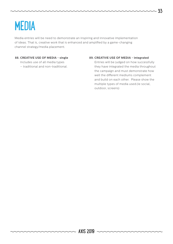### MEDIA

Media entries will be need to demonstrate an inspiring and innovative implementation of ideas. That is, creative work that is enhanced and amplified by a game-changing channel strategy/media placement.

#### **88. CREATIVE USE OF MEDIA - single**

Includes use of all media types

#### – traditional and non-traditional.

#### **89. CREATIVE USE OF MEDIA - integrated**

Entries will be judged on how successfully they have integrated the media throughout the campaign and must demonstrate how well the different mediums complement and build on each other. Please show the multiple types of media used.(ie social, outdoor, screens)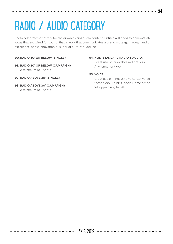# RADIO / AUDIO CATEGORY

Radio celebrates creativity for the airwaves and audio content. Entries will need to demonstrate ideas that are wired for sound; that is work that communicates a brand message through audio excellence, sonic innovation or superior aural storytelling.

#### **90. RADIO 30' OR BELOW (SINGLE).**

- **91. RADIO 30' OR BELOW (CAMPAIGN).** A minimum of 3 spots.
- **92. RADIO ABOVE 30' (SINGLE).**
- **93. RADIO ABOVE 30' (CAMPAIGN).** A minimum of 3 spots.

#### **94. NON-STANDARD RADIO & AUDIO.**

Great use of innovative radio/audio. Any length or type.

#### **95. VOICE.**

Great use of innovative voice-activated technology. Think 'Google Home of the Whopper'. Any length.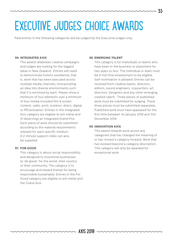### EXECUTIVE JUDGES CHOICE AWARDS

Paid entries in the following categories will be judged by the Executive Judges only.

#### **96. INTEGRATED AXIS**

This award celebrates creative campaigns and judges are looking for the biggest ideas in New Zealand. Entries will need to demonstrate holistic excellence; that is, work that has been executed across multiple media channels, incorporating an idea into diverse environments such that it is enriched by each. Please show a minimum of four elements over a minimum of four media included film & screen content, radio, print, outdoor, direct, digital or PR/activation. Entries in this Integrated Axis category are eligible to win metal and (if deserving) an Integrated Grand Prix. Each piece of work should be submitted according to the material requirements relevant for each specific medium. A 2-minute support video can also be supplied.

#### **97. FOR GOOD**

This category is about social responsibility and designed to incentivise businesses to 'do good.' for the world, their country or their community. The category is to encourage and reward brands for being responsible/sustainable. Entries in the For Good category are eligible to win metal and the Grand Axis.

#### **98. EMERGING TALENT**

This category is for individuals or teams who have been in the business or placement for two years or less. The individual or team must be in full time employment to be eligible. Self-nomination is allowed. Entries can be received from creative teams, directors, editors, sound engineers, copywriters, art directors, Designers and any other emerging creative talent. Three pieces of published work must be submitted for judging. These three pieces must be submitted separately. Published work must have appeared for the first time between 1st January 2018 and 31st December 2018.

35

#### **99. INNOVATION AXIS**

This award rewards work across any categories that has changed the meaning of or has moved a category forward. Work that has evolved beyond a category description. This category will only be awarded for exceptional work.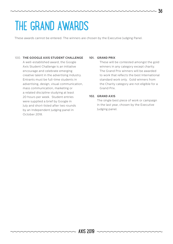### THE GRAND AWARDS

These awards cannot be entered. The winners are chosen by the Executive Judging Panel.

#### 100. **THE GOOGLE AXIS STUDENT CHALLENGE**

A well-established award, the Google Axis Student Challenge is an initiative encourage and celebrate emerging creative talent in the advertising industry. Entrants must be full-time students in advertising, design, visual communication, mass communication, marketing or a related discipline studying at least 20 hours per week. Student entries were supplied a brief by Google in July and short-listed after two rounds by an Independent judging panel in October 2018.

#### **101. GRAND PRIX**

These will be contested amongst the gold winners in any category except charity. The Grand Prix winners will be awarded to work that reflects the best International standard work only. Gold winners from the Charity category are not eligible for a Grand Prix.

#### **102. GRAND AXIS**

The single best piece of work or campaign in the last year, chosen by the Executive Judging panel.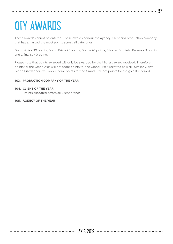# OTY AWARDS

These awards cannot be entered. These awards honour the agency, client and production company that has amassed the most points across all categories.

- 37

Grand Axis = 30 points, Grand Prix = 25 points, Gold = 20 points, Silver = 10 points, Bronze = 3 points and a finalist = 0 points

Please note that points awarded will only be awarded for the highest award received. Therefore points for the Grand Axis will not score points for the Grand Prix it received as well. Similarly, any Grand Prix winners will only receive points for the Grand Prix, not points for the gold it received.

#### **103. PRODUCTION COMPANY OF THE YEAR**

#### **104. CLIENT OF THE YEAR**

(Points allocated across all Client brands)

#### **105. AGENCY OF THE YEAR**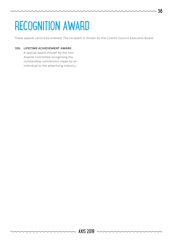# RECOGNITION AWARD

These awards cannot be entered. The recipient is chosen by the Comms Council Executive Board.

#### **106. LIFETIME ACHIEVEMENT AWARD**

A special award chosen by the Axis Awards Committee recognising the outstanding contribution made by an individual to the advertising industry.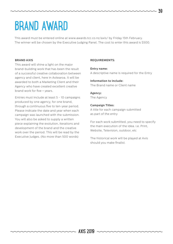## BRAND AWARD

This award must be entered online at www.awards.tcc.co.nz/axis/ by Friday 15th February. The winner will be chosen by the Executive Judging Panel. The cost to enter this award is \$500.

#### **BRAND AXIS**

This award will shine a light on the major brand-building work that has been the result of a successful creative collaboration between agency and client, here in Aotearoa. It will be awarded to both a Marketing Client and their Agency who have created excellent creative brand work for five + years.

Entries must include at least 5 - 10 campaigns produced by one agency, for one brand, through a continuous five to ten-year period. Please indicate the date and year when each campaign was launched with the submission. You will also be asked to supply a written piece explaining the evolution, iterations and development of the brand and the creative work over the period. This will be read by the Executive Judges. (No more than 500 words)

#### **REQUIREMENTS:**

#### **Entry name:**

A descriptive name is required for the Entry

### **Information to include:**

The Brand name or Client name

#### **Agency:**

The Agency

#### **Campaign Titles:**

A title for each campaign submitted as part of the entry

For each work submitted, you need to specify the main execution of the idea. i.e. Print, Website, Television, outdoor, etc

The historical work will be played at Axis should you make finalist.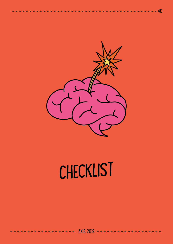

 $-40$ 

# CHECKLIST

AXIS 2019

mm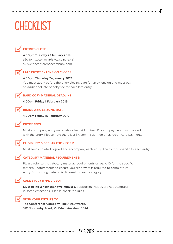### **CHECKLIST**



### **ENTRIES CLOSE:**

**4.00pm Tuesday 22 January 2019**

(Go to https://awards.tcc.co.nz/axis) axis@theconferencecompany.com



#### **LATE ENTRY EXTENSION CLOSES:**

### **4.00pm Thursday 24 January 2019.**

You must apply before the entry closing date for an extension and must pay an additional late penalty fee for each late entry.

#### **HARD COPY MATERIAL DEADLINE:**

**4.00pm Friday 1 February 2019**



#### **BRAND AXIS CLOSING DATE:**

**4.00pm Friday 15 February 2019**

#### **ENTRY FEES:**

Must accompany entry materials or be paid online. Proof of payment must be sent with the entry. Please note there is a 3% commission fee on all credit card payments.

#### **ELIGIBILITY & DECLARATION FORM:**

Must be completed, signed and accompany each entry. The form is specific to each entry.



#### **CATEGORY MATERIAL REQUIREMENTS:**

Please refer to the category material requirements on page 10 for the specific material requirements to ensure you send what is required to complete your entry. Supporting material is different for each category.

#### **CASE STUDY HYPE VIDEO:**

**Must be no longer than two minutes.** Supporting videos are not accepted in some categories. Please check the rules.



#### **SEND YOUR ENTRIES TO:**

**The Conference Company, The Axis Awards, 31C Normanby Road, Mt Eden, Auckland 1024.**